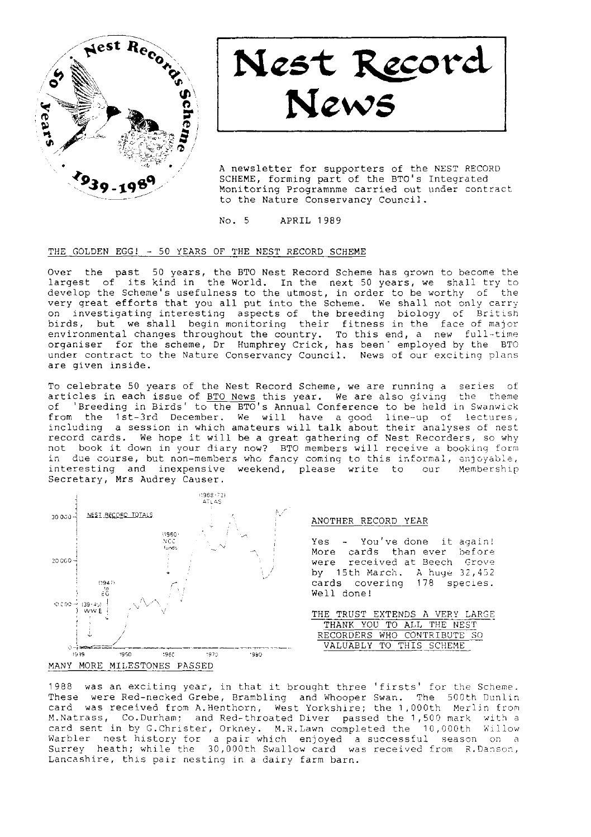

Nest Record News

A newsletter for supporters of the NEST RECORD SCHEME, forming part of the BTO's Integrated Monitoring Programnme carried out under contract to the Nature Conservancy Council.

No. 5 APRIL 1989

#### THE GOLDEN EGG! - 50 YEARS OF THE NEST RECORD SCHEME

Over the past 50 years, the BTO Nest Record Scheme has grown to become the largest of its kind in the World. In the next 50 years, we shall try to develop the Scheme's usefulness to the utmost, in order to be worthy of the very great efforts that you all put into the Scheme. We shall not only carry on investigating interesting aspects of the breeding biology of British birds, but we shall begin monitoring their fitness in the face of major<br>environmental changes throughout the country. To this end, a new full-time<br>organiser for the scheme, Dr Humphrey Crick, has been' employed by the BTO under contract to the Nature Conservancy Council. News of our exciting plans are given inside.

To celebrate 50 years of the Nest Record Scheme, we are running a series of articles in each issue of <u>BTO News</u> this year. We are also giving the theme<br>of 'Breeding in Birds' to the BTO's Annual Conference to be held in Swanwick from the 1st-3rd December. We will have a good line-up of lectures, including a session in which amateurs will talk about their analyses of nest record cards. We hope it will be a great gathering of Nest Recorders, so why not book it down in your diary now? BTO members will receive a booking form in due course, but non-members who fancy coming to this informal, enjoyable,<br>interesting and inexpensive weekend, please write to our Membership interesting and inexpensive weekend, please write to our Secretary, Mrs Audrey Causer.



# ANOTHER RECORD YEAR

Yes - You've done it again! More cards than ever before were received at Beech Grove by 15th March. A huge  $32, 452$ cards covering 178 species. Well done!

THE TRUST EXTENDS A VERY LARGE THANK YOU TO ALL THE NEST RECORDERS WHO CONTRIBUTE VALUABLY TO THIS SCHEME

1988 was an exciting year, in that it brought three 'firsts' for the Scheme. These were Red-necked Grebe, Brambling and Whooper Swan. The 500th Dunlin card was received fron A.Henthorn, West Yorkshire; Lhe 1,000th Merljn fron M.Natrass, Co.Durham; and Red-throated Diver passed the 1,500 mark with a card sent in by G.Christer, Orkney. M.R.Lawn completed the 10,000th Willow Warbler nest-history for a pair which enjoyed a successful season on a<br>Surrey heath; while the 30,000th Swallow card was received from R.Danson, Lancashire, this pair nesting in a dairy farm barn.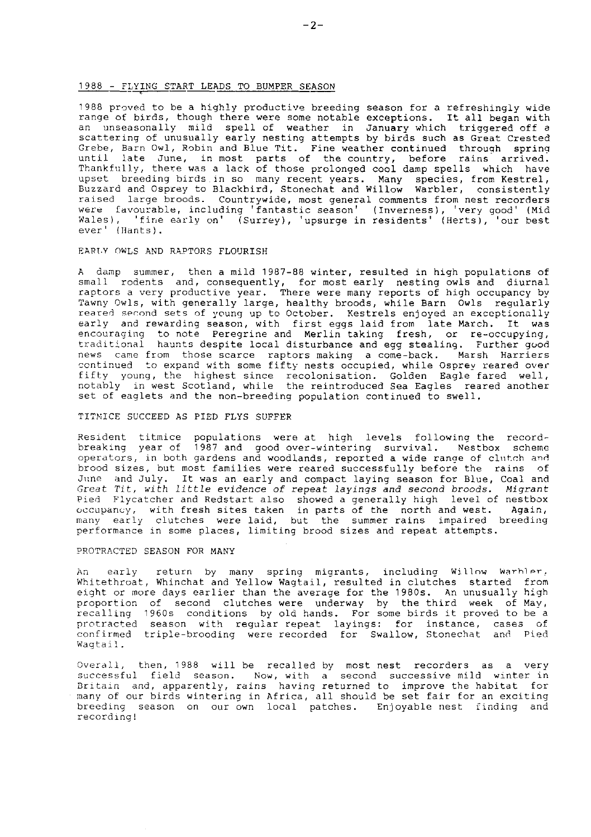#### 1988 - FLYING START LEADS TO BUMPER SEASON

1988 proved to be a highly productive breeding season for a refreshingly wide range of birds, though there were some notable exceptions. It all began with<br>an unseasonally mild spell of weather in January which triggered off a<br>scattering of unusually early nesting attempts by birds such as Great Cres Grebe, Barn Owl, Robin and Blue Tit. Fine weather continued through spring until late June, in most parts of the-country, before rains arrived.<br>Thankfully, there-was a lack of those-prolonged-cool-damp-spells which have upset breeding birds in so many recent y<mark>ears. Many species, from Kestre</mark>.<br>Buzzard and Osprey to Blackbird, Stonechat and Willow Warbler, consistent. raised large broods, Countrywide, most general comments from nest recorders existe targe zrees. Councrywise, mode gonerar commence from mose recordered in the favourable, including 'fantastic season' (Inverness), 'very good' (Mid Wales), 'fine early on' (Surrey), 'upsurge in residents' (Herts), 'our best ever' (Hants).

#### EARI,Y OWLS AND RAPTORS FLOURISH

A damp summer, then a mild 1987-88 winter, resulted in high populations of small rodents and, consequently, for most early nesting owls and diurnal raptors a very productive year. There were many reports of high occupancy by<br>Tawny Owls, with generally large, healthy broods, while Barn Owls regularly reared second sets of young up to October. Kestrels enjoyed an exceptionally early and rewarding season, with first eggs laid from late March. It was encouraging to note Peregrine and Merlin taking fresh, or re-occupying,<br>traditional haunts despite local disturbance and egg stealing. Further good news cane from those scarce raptors making a come-back. Marsh Harriers continued to expand with some fifty nests occupied, while Osprey reared over fifty young, the highest since recolonisation. Golden Eagle-fared well<br>notably in west Scotland, while the reintroduced Sea-Eagles reared anothe set of eaglets and the non-breeding population continued to swell.

### TITMICE SUCCEED AS PIED FLYS SUFFER

Resident titmice populations were at high levels following\_the record-<br>breaking year\_of 1987\_and good\_over-wintering survival, \_\_Nestbox\_\_scheme operators, in both gardens and woodlands, reported a wide range of clutch and brood sizes, but most families were reared successfully before the rains of June and July. It was an early and compact laying season for Blue, Coal and Great Tit, with little evidence of repeat layings and second broods. Migrant Pied Flycatcher and Redstart also showed a generally high level of nestbox occupancy, with fresh sites taken in parts of the north and west. Again<br>many early clutches were laid, but the summer rains impaired breeding<br>performance in some places, limiting brood sizes and repeat attempts

#### PROTRACTED SEASON FOR MANY

An early return by many spring migrants, including Willow Warhler, whitethroat, Whinchat and Yellow Wagtail, resulted in clutches started from eight or more days earlier than the average for the 1980s. An unusually high proportion of second clutches were underway by the third week of May,<br>recalling 1960s conditions by old hands. For some birds it proved to be a protracted season with regular-repeat layings: for instance, cases of<br>confirmed triple-brooding were-recorded for Swallow,-Stonechat and Pied Waqtail.

Overall, then, 1988 will be recalled by most nest recorders as a very<br>successful field season. Now, with a second successive mild winter in<br>Britain and, apparently, rains having returned to improve the habitat foı many of our birds wintering in Africa, all should be set fair for an exciting breeding season on our own local patches. Enjoyable nest finding and recording!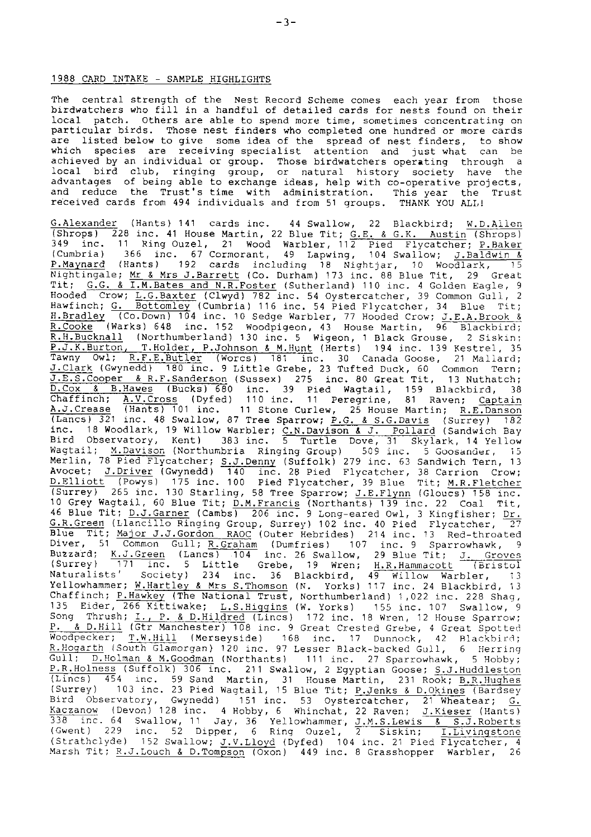### 1988 CARD INTAKE - SAMPLE HIGHLIGHTS

The central strength of the Nest Record Scheme comes each year from those birdwatchers who fill in a handful of detailed cards for nests found on their local patch. Others are able to spend more time, sometimes concentrating on particular birds. Those nest finders who completed one hundred or more cards are listed below to give some idea of the spread of nest finders, to show<br>which species are receiving specialist attention and just what can be<br>achieved by an individual or group. Those birdwatchers operating through a<br>loc and reduce the Trust's time with administration. This year the Trus<br>received cards from 494 individuals and from 51 groups. THANK YOU ALL!

G.Alexander (Hants) 141 cards inc. 44 Swallow, 22 Blackbird; <u>W.D.Allen</u><br>(Shrops) 228 inc. 41 House Martin, 22 Blue Tit; <u>G.E. & G.K. Austin</u> (Shrops)<br>349 inc. 11 Ring Ouzel, 21 Wood Warbler, 112 Pied Flycatcher; P.Baker<br>( Nightingale; <u>Mr & Mrs J.Barrett</u> (Co. Durham) 173 inc. 88 Blue Tit, 29 Great<br>Tit; <u>G.G. & I.M.Bates and N.R.Poster</u> (Sutherland) 110 inc. 4 Golden Eagle, 9<br>Hooded Crow; <u>L.G.Baxter</u> (Clwyd) 782 inc. 54 Oystercatcher, 39 C H<u>.Bradley</u> (Co.Down) 104 inc. 10 Sedge Warbler, 77 Hooded Crow; <u>J.E.A.Brook &</u><br>R.Cooke (Warks) 648 inc. 152 Woodpigeon, 43 House Martin, 96 Blackbird; R.H.Bucknall (Northumberland) 130 inc. 5 Wigeon, 1 Black Grouse, 2 Siskin; P.J.K.Burton, T.Holder, P.Johnson & M.Hunt (Herts) 194 inc. 139 Kestrel, 35<br>Tawny Owl; R.F.E.Butler (Worcs) 181 inc. 30 Canada Goose, 21 Mallard;<br>J.Clark (Gwynedd) 180 inc. 9 Little Grebe, 23 Tufted Duck, 60 Common Tern;<br>J D.Cox & B.Hawes (Bucks) 680 inc. 39 Pied Wagtail, 159 Blackbird, 38<br>Chaffinch; A.V.Cross (Dyfed) 110 inc. 11 Peregrine, 81 Raven; Captain<br>A.J.Crease (Hants) 101 inc. 11 Stone Curlew, 25 House Martin; <u>R.E.Danson</u><br>(Lancs) 3 Merlin, 78 Pied Flycatcher; <u>S.J.Denny</u> (Suffolk) 279 inc. 63 Sandwich Tern, 13<br>Avocet; <u>J.Driver</u> (Gwynedd) 140 inc. 28 Pied Flycatcher, 38 Carrion Crow;<br><u>D.Elliott (Powy</u>s) 175 inc. 100 Pied Flycatcher, 39 Blue Tit; <u>M.R</u> 10 Grey Wagtail, 60 Blue Tit; <u>D.M.Francis</u> (Northants) 139 inc. 22 Coal Tit<br>46 Blue Tit; <u>D.J.Garner</u> (Cambs) 206 inc. 9 Long-eared Owl, 3 Kingfisher; <u>Dr.R.Creen</u> (Llancillo Ringing Group, Surrey) 102 inc. 40 Pied Flycat 46 Blue Tit; <u>D.J.Garner</u> (Cambs) 206 inc. 9 Long-eared Owl, 3 Kingfisher; Dr.<br>G.R.Green (Llancillo Ringing Group, Surrey) 102 inc. 40 Pied Flycatcher, 27<br>Blue Tit; Major J.J.Gordon RAOC (Outer Hebridss) 214 inc. 13 Red-th Naturalists' Society) 234 inc. 36 Blackbird, 49 Willow Warbler, 13<br>Yellowhammer; <u>W.Hartley & Mrs S.Thomson</u> (N. Yorks) 117 inc. 24 Blackbird, 13<br>Chaffinch; <u>P.Hawkey</u> (The National Trust, Northumberland) 1,022 inc. 228 Sh 135 Eider, 266 Kittiwake; L.S.Higgins (W. Yorks) 155 inc. 107 Swallow, 9 Song Thrush; I., P. & D.Hildred (Lincs) 172 inc. 18 Wren, 12 House Sparrow; P, & D.Hi1] (Gtr Manchester) 108 inc. 9 Great Crested Grebe, 4 creat Spotter: Woodpecker; <u>T.W.Hill</u> (Merseyside) – 168 inc. 17 Dunnock, 42 Blackbird<br><u>R.Hogarth</u> (South Glamorgan) 120 inc. 97 Lesser-Black-backed Gull, 6 Herrin Gul1; D.Holman & M.coodman (Northants) 111 inc. 27 Sparrowhawk, 5 Hobby; p.R.HoInEEE-lGi?ToIk-J-l nc. 21 1 SwaItow, 2 Eqvprian coose; S.J.HuddIeston (Lincs) 454 inc. 59 Sand Martin, 31 House Martin, 231 Rook; B.R.Hughes<br>(Surrey) 103 inc. 23 Pied Wagtail, 15 Blue Tit; P.Jenks & D.Okines (Bardsey Bird Observatory, Gwynedd) 151 inc. 53 Oystercatcher, 21 Wheatear; <u>G.</u><br>Kaczanow (Devon) 128 inc. 4 Hobby, 6 Whinchat, 22 Raven; <u>J.Kieser</u> (Hants) 338 inc. 64 Swallow, 11 Jay, 36 Yellowhammer, <u>J.M.S.Lewis & S.J.Roberts</u><br>(Gwent) 229 inc. 52 Dipper, 6 Ring Ouzel, 2 Siskin; <u>I.Livingstone</u><br>(Strathclyde) 152 Swallow; <u>J.V.Lloyd</u> (Dyfed) 104 inc. 21 Pied Flycatcher, 4<br>Ma 46 Blue Tit; <u>D.J.Garner</u> (Cambs)<br><u>G.R.Green</u> (Llancillo Ringing G<sub>1</sub>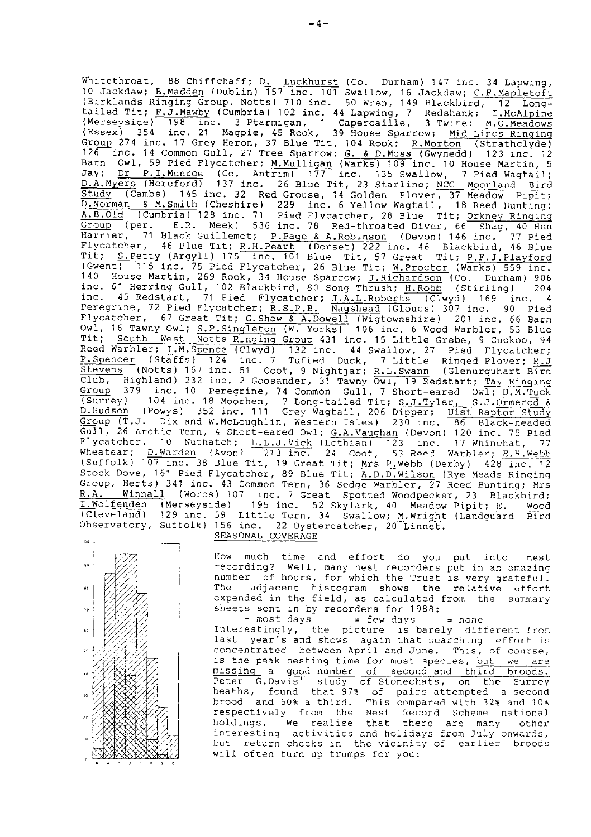Whitethroat, 88 Chiffchaff; D. Luckhurst (Co. Durham) 147 inc. 34 Lapwing, 10 Jackdaw; B.Madden (Dublin) 157 inc. 101 Swallow, 16 Jackdaw; C.F.Mapletoft (Birklands Ringing Group, Notts) 710 inc. 50 Wren, 149 Blackbird, 12 Long-(Birklands Ringing Group, Notes) /10 inc. 50 wren, 149 Blackbird, 12 Long-<br>tailed Tit; F.J.Mawby (Cumbria) 102 inc. 44 Lapwing, 7 Redshank; I.McAlpine<br>(Merseyside) 198 inc. 3 Ptarmigan, 1 Capercaille, 3 Twite; M.O.Meadows Fraction (1414) Community 27 Free Sparrow; G. & D. Moss (Swyneda) (23 Inc. 12<br>
Barn Owl, 59 Pied Flycatcher; M. Mulligan (Warks) 109 inc. 10 House Martin, 5<br>
Jay; <u>Dr P.I. Munroe</u> (Co. Antrin) 177 inc. 135 Swallow, 7 Pied A.B.Old (Cumbria) 128 inc. 71 Pied Flycatcher, 28 Blue Tit; Orkney Ringing Group (per. E.R. Meek) 536 inc. 78 Red-throated Diver, 66 Shag, 40 Hen Harrier, 71 Black Guillemot; P. Page & A. Robinson (Devon) 146 inc. 77 Pied Flycatcher, 46 Blue Tit; R.H.Peart (Dorset) 222 inc. 46 Blackbird, 46 Blue<br>Tit; S.Petty (Argyll) 175 inc. 101 Blue Tit, 57 Great Tit; P.F.J.Playford<br>Tit; S.Petty (Argyll) 175 inc. 101 Blue Tit, 57 Great Tit; P.F.J.Playford inc. 61 Herring Gull, 102 Blackbird, 80 Song Thrush; H.Robb (Stirling) 204 inc. 45 Redstart, 71 Pied Flycatcher; J.A.L.Roberts (Clwyd) 169 inc. 4 Peregrine, 72 Pied Flycatcher; R.S.P.B. Nagshead (Gloucs) 307 inc. 90 Pied Flycatcher, 67 Great Tit; G. Shaw & A. Dowell (Wigtownshire) 201 inc. 66 Barn<br>Owl, 16 Tawny Owl; S. P. Singleton (W. Yorks) 106 inc. 6 Wood Warbler, 53 Blue<br>Tit; <u>South West Notts Ringing Group</u> 431 inc. 15 Little Grebe, 9 Reed Warbler; I.M.Spence (Clwyd) 132 inc. 44 Swallow, 27 Pied Flycatcher; P.Spencer (Staffs) 124 inc. 7 Tufted Duck, 7 Little Ringed Plover; R.J. Stevens (Notts) 167 inc. 51 Coot, 9 Nightjar; R.L.Swann (Glenurquhart Bird Club, Highland) 232 inc. 31 Coot, 9 Nightjar; K.L.Swann (Glenurguhart Bird<br>
Club, Highland) 232 inc. 2 Gossander, 31 Tawny owl, 19 Redstart; Tay Kinging<br>
Group 379 inc. 10 Peregrine, 74 Common Gull, 7 Short-eared Owl; <u>D.</u> Gull, 26 Arctic Tern, 4 Short-eared Owl; G.A.Vaughan (Devon) 120 inc. 75 Pied Surfaceber, 10 Nutrice 1: L.J.J.Vick (Lothian) 123 inc. 17 Figure 1. 17 Wheatear; D.Warden (Avon) 273 inc. 24 Coot, 53 Reed Warbler; E.H.Web<br>(Suffolk) 107 inc. 38 Blue Tit, 19 Great Tit; <u>Mrs P.Webb</u> (Derby) 428 inc. 12<br>St Winnall (Worcs) 107 inc. 7 Great Spotted Woodpecker, 23 Blackbird; R.A. I. Wolfenden (Merseyside) 195 inc. 52 Skylark, 40 Meadow Pipit; E. Wood (Cleveland) 129 inc. 59 Little Tern, 34 Swallow; M.Wright (Landquard Bird Observatory, Suffolk) 156 inc. 22 Oystercatcher, 20 Linnet. SEASONAL COVERAGE

 $10<sup>2</sup>$ y.  $\overline{1}$  $\overline{\mathbf{r}}$  $60$  $\bar{\tau}_0$  $\overline{10}$  $\overline{\mathbf{z}}$  $\overline{10}$ 

How much time and effort do you put into nest recording? Well, many nest recorders put in an amazing number of hours, for which the Trust is very grateful. adjacent histogram shows the relative effort The expended in the field, as calculated from the summary sheets sent in by recorders for 1988: = most days  $=$  few days = none

Interestingly, the picture is barely different from last year's and shows again that searching effort is concentrated between April and June. This, of course, is the peak nesting time for most species, but we are missing a good number of second and third broods. Peter G. Davis' study of Stonechats, on the Surrey<br>heaths, found that 97% of pairs attempted a second<br>brood and 50% a third. This compared with 32% and 10% respectively from the Nest Record Scheme national holdings. We realise that there are many other interesting activities and holidays from July onwards, but return checks in the vicinity of earlier broods will often turn up trumps for you!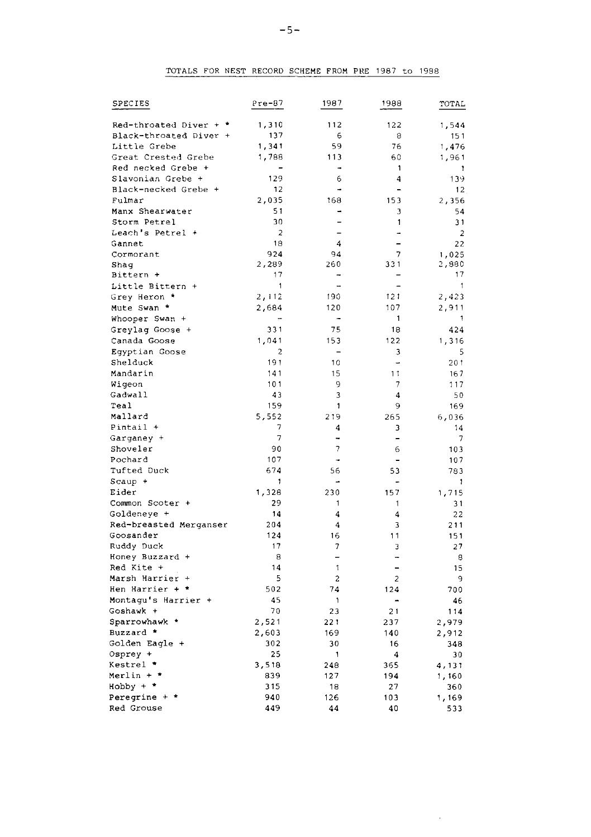# TOTALS FOR NEST RECORD SCHEME FROM PRE 1987 to 1988

| SPECIES                  | Pre-87         | 1987           | 1988           | TOTAL          |
|--------------------------|----------------|----------------|----------------|----------------|
| Red-throated Diver + $*$ | 1,310          | 112            | 122            | 1,544          |
| Black-throated Diver +   | 137            | 6              | 8              | 151            |
| Little Grebe             | 1,341          | 59             | 76             | 1,476          |
| Great Crested Grebe      | 1,788          | 113            | 60             | 1,961          |
| Red necked Grebe +       |                | ٠              | 1              | 1              |
| Slavonian Grebe +        | 129            | 6              | 4              | 139            |
| Black-necked Grebe +     | 12             | ÷              |                | 12             |
| Fulmar                   | 2,035          | 168            | 153            | 2,356          |
| Manx Shearwater          | 51             |                | 3              | 54             |
| Storm Petrel             | 30             |                | 1              | 31             |
| Leach's Petrel +         | 2              |                | ä.             | $\mathbf{2}$   |
| Gannet                   | 18             | 4              | L,             | 22             |
| Cormorant                | 924            | 94             | 7              | 1,025          |
| Shag                     | 2,289          | 260            | 331            | 2,880          |
| Bittern +                | 17             |                |                | 17             |
| Little Bittern +         | 1              | i.             |                | 1              |
| Grey Heron *             | 2,112          | 190            | 121            | 2,423          |
| Mute Swan *              | 2,684          | 120            | 107            | 2,911          |
| Whooper Swan +           | ÷.             | ۰              | 1              |                |
| Greylag Goose +          | 331            | 75             | 18             | 424            |
| Canada Goose             | 1,041          | 153            | 122            | 1,316          |
| Egyptian Goose           | $\overline{c}$ | $\blacksquare$ | 3              | 5              |
| Shelduck                 | 191            | 10             | $\rightarrow$  | 201            |
| Mandarin                 | 141            | 15             | 11             | 167            |
| Wigeon                   | 101            | 9              | 7              | 117            |
| Gadwall                  | 43             | 3              | 4              | 50             |
| Teal                     | 159            | $\mathbf{1}$   | 9              | 169            |
| Mallard                  | 5,552          | 219            | 265            | 6,036          |
| Pintail +                | 7              | 4              | 3              | 14             |
| Garganey +               | $\overline{7}$ |                | L,             | $\overline{7}$ |
| Shoveler                 | 90             | 7              | 6              | 103            |
| Pochard                  | 107            | -              | ۰              | 107            |
| Tufted Duck              | 674            | 56             | 53             | 783            |
| Scaup +                  | 1              | ۰              | -              | 1              |
| Eider                    | 1,328          | 230            | 157            | 1,715          |
| Common Scoter +          | 29             | 1              | 1              | 31             |
| Goldeneye +              | 14             | 4              | 4              | 22             |
| Red-breasted Merganser   | 204            | 4              | 3              | 211            |
| Goosander                | 124            | 16             | 11             | 151            |
| Ruddy Duck               | 17             | 7              | 3              | 27             |
| Honey Buzzard +          | 8              | ۳              | 4              | 8              |
| Red Kite +               | 14             | 1              | -              | 15             |
| Marsh Harrier +          | 5              | $\overline{c}$ | $\overline{2}$ | 9              |
| Hen Harrier + *          | 502            | 74             | 124            | 700            |
| Montaqu's Harrier +      | 45             | 1              |                | 46             |
| Goshawk +                | 70             | 23             | 21             | 114            |
| Sparrowhawk *            | 2,521          | 221            | 237            | 2,979          |
| Buzzard *                | 2,603          | 169            | 140            | 2,912          |
| Golden Eagle +           | 302            | 30             | 16             | 348            |
| Osprey +                 | 25             | 1              | 4              | 30             |
| Kestrel *                | 3,518          | 248            | 365            | 4,131          |
| Merlin + *               | 839            | 127            | 194            | 1,160          |
| $Hobby + *$              | 315            | 18             | 27             | 360            |
| Peregrine + *            | 940            | 126            | 103            | 1,169          |
| Red Grouse               | 449            | 44             | 40             | 533            |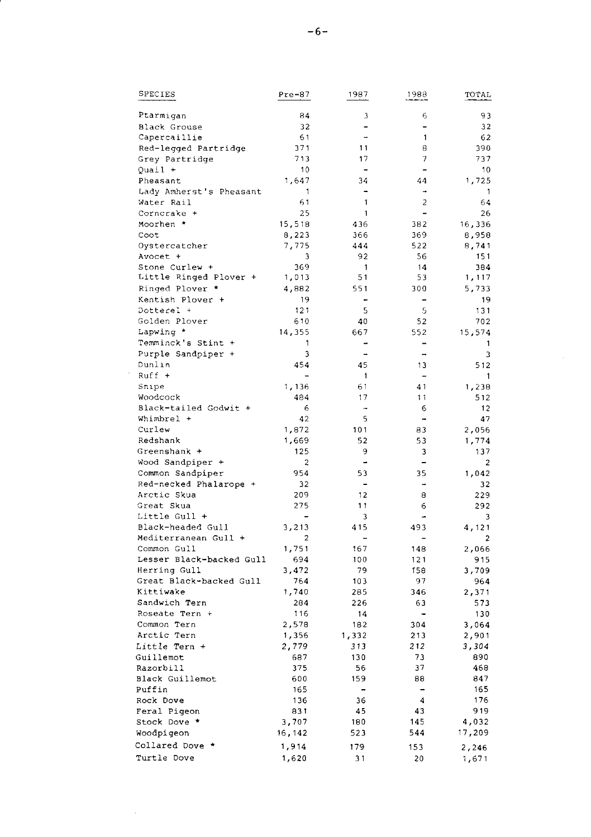| SPECIES                             | $Pre-87$                 | 1987           | 1988                         | TOTAL          |
|-------------------------------------|--------------------------|----------------|------------------------------|----------------|
| Ptarmigan                           | 84                       | $\mathfrak z$  | 6                            | 93             |
| Black Grouse                        | 32                       | $\overline{a}$ | $\overline{a}$               | 32             |
| Capercaillie                        | 61                       | i.             | $\mathbf{1}$                 | 62             |
| Red-legged Partridge                | 371                      | 11             | 8                            | 390            |
| Grey Partridge                      | 713                      | 17             | 7                            | 737            |
| Quail +                             | 10                       |                |                              | 10             |
| Pheasant                            | 1,647                    | 34             | 44                           | 1,725          |
| Lady Amherst's Pheasant             | 1                        | $\overline{a}$ | ۰                            | $\overline{1}$ |
| Water Rail                          | 61                       | $\mathbf{1}$   | $\overline{\mathbf{c}}$      | 64             |
| Corncrake +                         | 25                       | $\mathbf{1}$   | ۳                            | 26             |
| Moorhen *                           | 15,518                   | 436            | 382                          | 16,336         |
| Coot                                | 8,223                    | 366            | 369                          | 8,958          |
| Oystercatcher                       | 7,775                    | 444            | 522                          | 8,741          |
| Avocet +                            | 3                        | 92             | 56                           | 151            |
| Stone Curlew +                      | 369                      | $\mathbf{1}$   | 14                           | 384            |
| Little Ringed Plover +              | 1,013                    | 51             | 53                           | 1,117          |
| Ringed Plover *                     | 4,882                    | 551            | 300                          | 5,733          |
| Kentish Plover +                    | 19                       | -              |                              | 19             |
| Dotterel +                          | 121                      | 5              | 5                            | 131            |
| Golden Plover                       | 610                      | 40             | 52                           | 702            |
| Lapwing *                           | 14,355                   | 667            | 552                          | 15,574         |
| Temminck's Stint +                  | 1                        |                |                              | 1              |
| Purple Sandpiper +                  | 3                        | u,             | $\rightarrow$                | 3              |
| Dunlin                              | 454                      | 45             | 13                           | 512            |
| $Ruff +$                            | $\overline{\phantom{a}}$ | 1              | $\blacksquare$               | 1              |
| Snipe                               |                          | 61             | 41                           |                |
| Woodcock                            | 1,136<br>484             | 17             | 11                           | 1,238          |
|                                     | 6                        |                | б                            | 512            |
| Black-tailed Godwit +<br>Whimbrel + | 42                       | ٠<br>5         |                              | 12<br>47       |
| Curlew                              |                          |                |                              |                |
| Redshank                            | 1,872                    | 101            | 83                           | 2,056          |
|                                     | 1,669                    | 52             | 53                           | 1,774          |
| Greenshank +                        | 125                      | 9              | 3                            | 137            |
| Wood Sandpiper +                    | $\overline{c}$           | -              |                              | $\overline{2}$ |
| Common Sandpiper                    | 954                      | 53             | 35                           | 1,042          |
| Red-necked Phalarope +              | 32                       | $\overline{a}$ | $\ddot{ }$                   | 32             |
| Arctic Skua                         | 209                      | 12             | 8                            | 229            |
| Great Skua                          | 275                      | 11             | 6                            | 292            |
| Little Gull +                       |                          | 3              |                              | 3              |
| Black-headed Gull                   | 3,213                    | 415            | 493                          | 4,121          |
| Mediterranean Gull +                | $\overline{a}$           | ۳              | ÷,                           | $\overline{2}$ |
| Common Gull                         | 1,751                    | 167            | 148                          | 2,066          |
| Lesser Black-backed Gull            | 694                      | 100            | 121                          | 915            |
| Herring Gull                        | 3,472                    | 79             | 158                          | 3,709          |
| Great Black-backed Gull             | 764                      | 103            | 97                           | 964            |
| Kittiwake                           | 1,740                    | 285            | 346                          | 2,371          |
| Sandwich Tern                       | 284                      | 226            | 63                           | 573            |
| Roseate Tern +                      | 116                      | 14             | $\qquad \qquad \blacksquare$ | 130            |
| Common Tern                         | 2,578                    | 182            | 304                          | 3,064          |
| Arctic Tern                         | 1,356                    | 1,332          | 213                          | 2,901          |
| Little Tern +                       | 2,779                    | 313            | 212                          | 3,304          |
| Guillemot                           | 687                      | 130            | 73                           | 890            |
| Razorbill                           | 375                      | 56             | 37                           | 468            |
| Black Guillemot                     | 600                      | 159            | 88                           | 847            |
| Puffin                              | 165                      |                |                              | 165            |
| Rock Dove                           | 136                      | 36             | 4                            | 176            |
| Feral Pigeon                        | 831                      | 45             | 43                           | 919            |
| Stock Dove *                        | 3,707                    | 180            | 145                          | 4,032          |
| Woodpigeon                          | 16, 142                  | 523            | 544                          | 17,209         |
| Collared Dove *                     | 1,914                    | 179            | 153                          | 2,246          |
| Turtle Dove                         | 1,620                    | 31             | 20                           | 1,671          |
|                                     |                          |                |                              |                |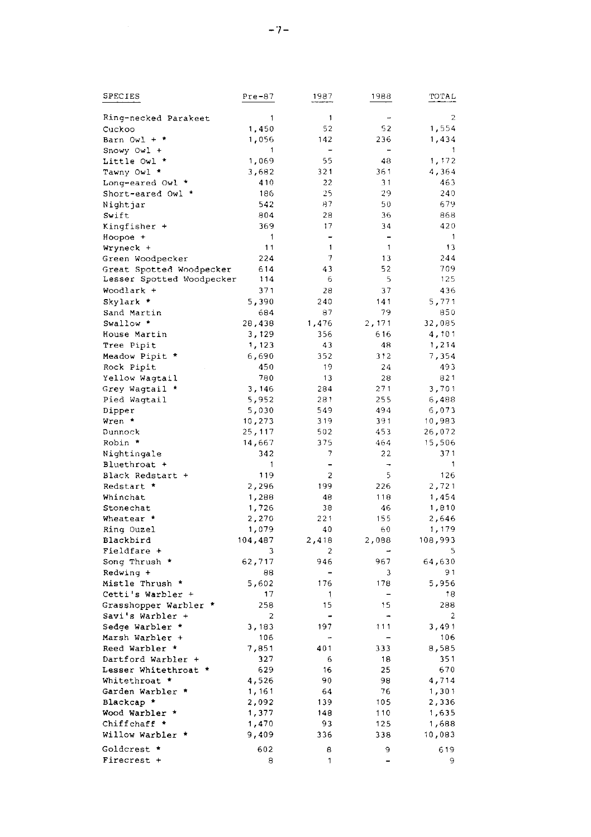| SPECIES                                               | $Pre-87$         | 1987                     | 1988                     | TOTAL            |
|-------------------------------------------------------|------------------|--------------------------|--------------------------|------------------|
|                                                       | 1                | $\mathbf{1}$             |                          | $\overline{2}$   |
| Ring-necked Parakeet                                  |                  | 52                       | 52                       | 1,554            |
| Cuckoo                                                | 1,450<br>1,056   | 142                      | 236                      | 1,434            |
| Barn Owl + *                                          | 1                | $\overline{\phantom{0}}$ | $\overline{\phantom{0}}$ | 1                |
| Snowy Owl +                                           |                  | 55                       | 48                       | 1,172            |
| Little Owl *                                          | 1,069            | 321                      | 361                      |                  |
| Tawny Owl *                                           | 3,682<br>410     | 22                       | 31                       | 4,364<br>463     |
| Long-eared Owl *                                      | 186              | 25                       | 29                       | 240              |
| Short-eared Owl *                                     | 542              | 87                       | 50                       | 679              |
| Nightjar                                              | 804              | 28                       | 36                       | 868              |
| Swift                                                 | 369              | 17                       |                          | 420              |
| Kingfisher +                                          | 1                | Ē,                       | 34<br>Ĭ.                 | 1                |
| Hoopoe +<br>Wryneck +                                 | 11               | 1                        | $\mathbf{1}$             | 13               |
|                                                       | 224              | 7                        | 13                       | 244              |
| Green Woodpecker                                      | 614              | 43                       | 52                       | 709              |
| Great Spotted Woodpecker<br>Lesser Spotted Woodpecker | 114              | 6                        | 5                        | 125              |
| Woodlark +                                            | 371              | 28                       | 37                       | 436              |
| Skylark *                                             |                  | 240                      | 141                      |                  |
|                                                       | 5,390<br>684     | 87                       | 79                       | 5,771<br>850     |
| Sand Martin<br>Swallow *                              | 28,438           | 1,476                    | 2,171                    | 32,085           |
|                                                       | 3,129            | 356                      | 616                      | 4,101            |
| House Martin                                          |                  |                          | 48                       | 1,214            |
| Tree Pipit                                            | 1,123<br>6,690   | 43<br>352                | 312                      | 7,354            |
| Meadow Pipit *                                        |                  | 19                       |                          |                  |
| Rock Pipit                                            | 450<br>780       | 13                       | 24<br>28                 | 493<br>821       |
| Yellow Wagtail                                        |                  |                          | 271                      | 3.701            |
| Grey Wagtail *                                        | 3,146            | 284                      |                          |                  |
| Pied Wagtail                                          | 5,952            | 281                      | 255<br>494               | 6,488            |
| Dipper<br>Wren *                                      | 5,030<br>10,273  | 549<br>319               | 391                      | 6,073<br>10,983  |
| Dunnock                                               |                  | 502                      | 453                      |                  |
| Robin *                                               | 25,117<br>14,667 | 375                      | 464                      | 26,072<br>15,506 |
|                                                       | 342              | 7                        | 22                       | 371              |
| Nightingale                                           |                  | $\overline{\phantom{0}}$ |                          | 1                |
| Bluethroat +                                          | 1<br>119         |                          | 5                        | 126              |
| Black Redstart +                                      |                  | 2<br>199                 |                          |                  |
| Redstart *<br>Whinchat                                | 2,296<br>1,288   | 48                       | 226<br>118               | 2,721<br>1,454   |
| Stonechat                                             | 1,726            | 38                       | 46                       | 1,810            |
|                                                       |                  | 221                      | 155                      |                  |
| Wheatear *                                            | 2,270<br>1,079   | 40                       | 60                       | 2,646<br>1,179   |
| Ring Ouzel<br>Blackbird                               | 104,487          | 2,418                    | 2,088                    | 108,993          |
| Fieldfare +                                           | 3                | $\overline{c}$           | $\overline{\phantom{0}}$ | 5                |
| Song Thrush *                                         | 62,717           | 946                      | 967                      | 64,630           |
| Redwing +                                             | 88               | $\overline{\phantom{0}}$ | 3                        | 91               |
| Mistle Thrush *                                       | 5,602            | 176                      | 178                      | 5,956            |
| Cetti's Warbler +                                     | 17               | 1                        | -                        | 18               |
| Grasshopper Warbler *                                 | 258              | 15                       | 15                       | 288              |
| Savi's Warbler +                                      | 2                |                          |                          | 2                |
| Sedge Warbler                                         | 3,183            | 197                      | 111                      | 3,491            |
| Marsh Warbler +                                       | 106              |                          |                          | 106              |
| Reed Warbler *                                        | 7,851            | 401                      | 333                      | 8,585            |
| Dartford Warbler +                                    | 327              | 6                        | 18                       | 351              |
| Lesser Whitethroat *                                  | 629              | 16                       | 25                       | 670              |
| Whitethroat *                                         | 4,526            | 90                       | 98                       | 4,714            |
| Garden Warbler *                                      | 1,161            | 64                       | 76                       | 1,301            |
| Blackcap *                                            | 2,092            | 139                      | 105                      | 2,336            |
| Wood Warbler *                                        | 1,377            | 148                      | 110                      | 1,635            |
| Chiffchaff *                                          | 1,470            | 93                       | 125                      | 1,688            |
| Willow Warbler                                        | 9,409            | 336                      | 338                      | 10,083           |
|                                                       |                  |                          |                          |                  |
| Goldcrest *                                           | 602              | 8                        | 9                        | 619              |
| Firecrest +                                           | 8                | 1                        | -                        | 9                |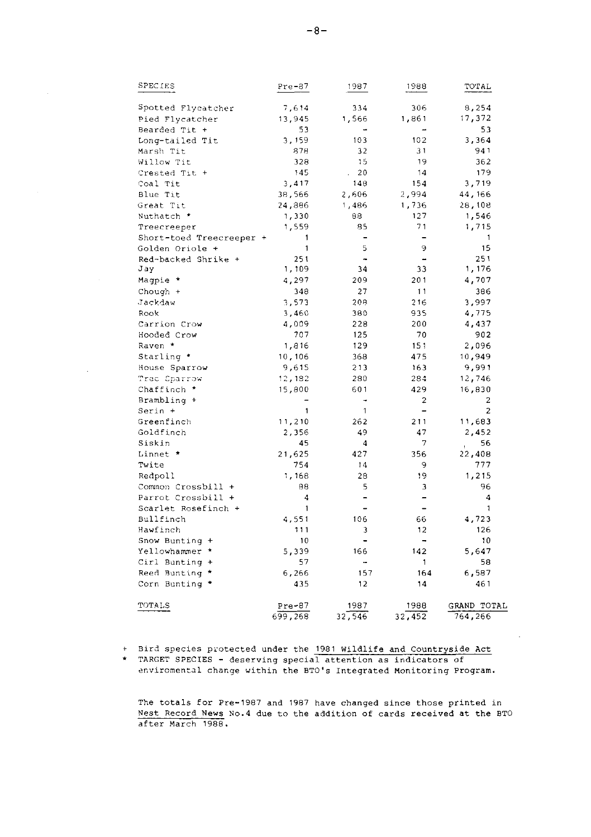| SPECIES                  | Pre-87       | 1987                     | 1988                         | <b>TOTAL</b>   |
|--------------------------|--------------|--------------------------|------------------------------|----------------|
| Spotted Flycatcher       | 7,614        | 334                      | 306                          | 8.254          |
| Pied Flycatcher          | 13,945       | 1,566                    | 1,861                        | 17,372         |
| Bearded Tit +            | 53           |                          |                              | 53             |
| Long-tailed Tit          | 3,159        | 103                      | 102                          | 3,364          |
| Marsh Tit                | 878          | 32                       | 31                           | 941            |
| Willow Tit               | 328          | 15                       | 19                           | 362            |
| Crested Tit +            | 145          | 20                       | 14                           | 179            |
| Coal Tit                 | 3,417        | 148                      | 154                          | 3,719          |
| Blue Tit                 | 38,566       | 2,606                    | 2,994                        | 44,166         |
| Great Tit                | 24,886       | 1,486                    | 1,736                        | 28,108         |
| Nuthatch *               | 1,330        | 88                       | 127                          | 1,546          |
| Treecreeper              | 1,559        | 85                       | 71                           | 1,715          |
| Short-toed Treecreeper + | 1            | $\overline{\phantom{0}}$ | $\qquad \qquad \blacksquare$ | 1              |
| Golden Oriole +          | $\mathbf{1}$ | 5                        | 9                            | 15             |
| Red-backed Shrike +      | 251          |                          | -                            | 251            |
| Jay                      | 1,109        | 34                       | 33                           | 1,176          |
| Magpie *                 | 4,297        | 209                      | 201                          | 4,707          |
| $Chough +$               | 348          | 27                       | 11                           | 386            |
| Jackdaw                  | 3,573        | 208                      | 216                          | 3,997          |
| Rook                     | 3,460        | 380                      | 935                          | 4,775          |
| Carrion Crow             | 4,009        | 228                      | 200                          | 4,437          |
| Hooded Crow              | 707          | 125                      | 70                           | 902            |
| Raven *                  | 1,816        | 129                      | 151                          | 2,096          |
| Starling *               | 10,106       | 368                      | 475                          | 10,949         |
| House Sparrow            | 9,615        | 213                      | 163                          | 9,991          |
| Trec Sparrow             | 12,182       | 280                      | 284                          | 12,746         |
| Chaffinch *              | 15,800       | 601                      | 429                          | 16,830         |
| Brambling +              |              |                          | $\overline{\mathbf{c}}$      | 2              |
| Serin +                  | 1            | $\mathbf{1}$             | $\overline{\phantom{0}}$     | $\overline{c}$ |
| Greenfinch               | 11,210       | 262                      | 211                          | 11,683         |
| Goldfinch                | 2,356        | 49                       | 47                           | 2,452          |
| Siskin                   | 45           | 4                        | 7                            | 56             |
| Linnet *                 | 21,625       | 427                      | 356                          | 22,408         |
| Twite                    | 754          | 14                       | 9                            | 777            |
| Redpoll                  | 1,168        | 28                       | 19                           | 1,215          |
| Common Crossbill +       | 88           | 5                        | 3                            | 96             |
| Parrot Crossbill +       | 4            |                          | -                            | 4              |
| Scarlet Rosefinch +      | $\mathbf{1}$ |                          | $\overline{\phantom{0}}$     | 1              |
| Bullfinch                | 4,551        | 106                      | 66                           | 4,723          |
| Hawfinch                 | 111          | 3                        | 12                           | 126            |
| Snow Bunting +           | 10           |                          | $\overline{\phantom{a}}$     | 10             |
| Yellowhammer *           | 5,339        | 166                      | 142                          | 5,647          |
| Cirl Bunting +           | 57           | ۰.                       | 1                            | 58             |
| Reed Bunting *           | 6,266        | 157                      | 164                          | 6,587          |
| Corn Bunting *           | 435          | 12                       | 14                           | 461            |
| TOTALS                   | $Pre-87$     | 1987                     | 1988                         | GRAND TOTAL    |
|                          | 699,268      | 32,546                   | 32,452                       | 764,266        |

+ Bird species protected under the 1981 Wildlife and Countryside Act<br>\* TARGET SPECIES - deserving special attention as indicators of enviromental change within the BTO's Integrated Monitoring Program.

The totals for Pre-1987 and 1987 have changed since those printed in Nest Record News No.4 due to the addition of cards received at the BTO after March 1988.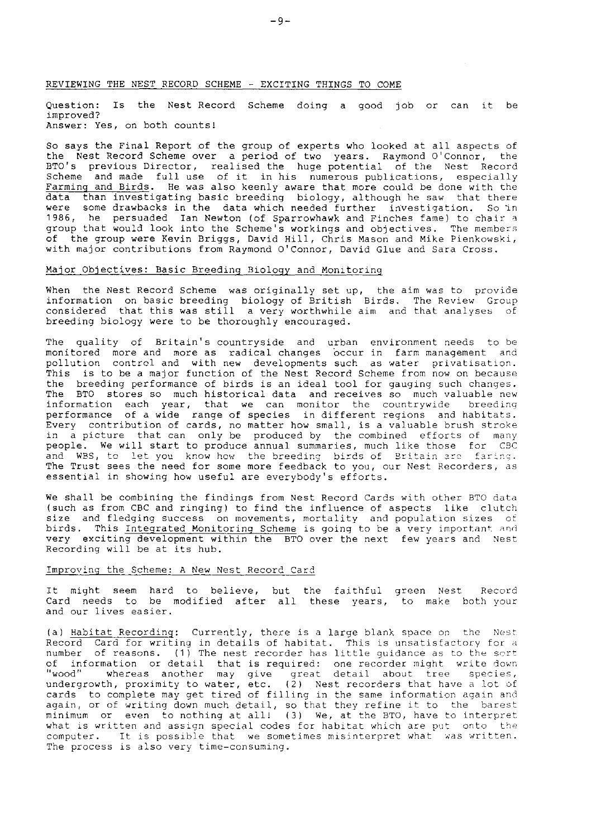### REVIEWING THE NEST RECORD SCHEME - EXCITING THINGS TO COME

Question: Is the Nest Record Scheme doing a good job or can it be improved ? Answer: Yes, on both counts!

So says the Final Report of the group of experts who looked at all aspects of the Nest Record Scheme over a period of two years. Raymond O'Connor, the BTO's previous-Director, realised-the huge-potential of the Nest Record<br>Scheme and made full-use of it in-his numerous-publications, especially Farming and Birds. He was also keenly aware that more could be done with the data than investigating basic breeding biology, although he saw that there were some drawbacks in the data which needed further investigation. So in 1985, he persuaded Ian Newton (of Sparrowhawk and Finches fame) to chair a group that would look inbo the Scheme's workings and objectives. The members of the group were Kevin Briggs, David Hill, Chris Mason and Mike Pienkowski, with major contributions from Raymond O'Connor, David Glue and Sara Cross.

### Major Objectives: Basic Breeding Biology and Monitoring

When the Nest Record Scheme was originally set up, the aim was to provide<br>information on basic breeding biology of British Birds. The Review Group<br>considered that this was still a very worthwhile aim and that analyses of breeding biology were to be thoroughly encouraged.

The quality of Britain's countryside and urban environment needs to be monitored more and more as radical-changes occur in farm-management and<br>pollution control and with-new developments-such as water privatisation. This is to be a major function of the Nest Record Scheme from now on because the breeding performance of birds is an ideal tool for gauging such changes. The BTO stores so much historical data and receives so much valuable new<br>information each year, that we can monitor the countrywide breeding information each year, that we can monitor the countrywide performance of a wide range of species in different regions and habitats. Every contribution of cards, no matter how small, is a valuable brush stroke in a picture that can only be produced by the combined efforts of many<br>people. We will start to produce annual summaries, much like those for CBC and WBS, to let you know how the breeding birds of Britain are faring. The Trust sees the need for some more feedback to you, our Nest Recorders, as essential in showing how useful are everybody's efforts.

We shall be combining the findings from Nest Record Cards with other BTO data (such as from CBC and ringing) to find the influence of aspects like clutch size and fledging success on movements, mortality and population sizes of birds. This Integrated Monitoring Scheme is going to be a very important and very exciting development within Lhe BTO over the next few years and Nesr Recording wiII be at its hub.

### Improving the Scheme: A New Nest Record Card

It might seem hard to believe, but the faithful green Nest. Recor<br>Card needs to be modified after all these years, to make both-you and our lives easier.

(a) <u>Habitat Recordin</u>g: Currently, there is a large blank space on the :Nes Record Card for writing in details of habitat. This is unsatisfactory for a<br>number of reasons. (1) The nest recorder has little guidance as to the sort of information or detail that is required: one recorder might write down<br>"wood" whereas another may give great detail about tree species,<br>undergrowth, proximity to water, etc. (2) Nest recorders that have a lo cards to complete may get tired of filling in the same information again and again, or of writing down much detail, so that they refine it to the barest minimum or even to nothing at all! (3) We, at the BTO, have to interpret what is written and assign special codes for habitat which are put onto the computer. It is possible that we sometimes misinterpret what was written. The process is also very time-consuming.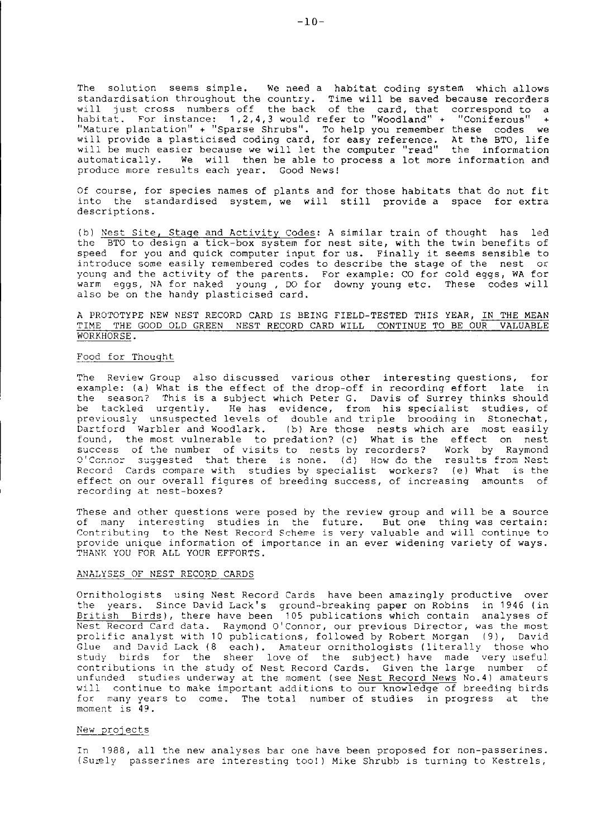The solution seems simple. We need a habitat coding system which allows standardisation throughout the country. Time will be saved because recorders will just cross numbers off the back of the card, that correspond to a<br>habitat. For instance: 1,2,4,3 would refer to "Woodland" + "Coniferous" + "Mature plantation" + "Sparse Shrubs". To help you remember these codes we<br>will provide a plasticised coding card, for easy reference. At the BTO, life<br>will be much easier because we will let the computer "read" the inform autonatically. We will then be able to process a lot nore information and produce more results each year. Good Newst

Of course, for species names of plants and for those habitats that do not fit into the standardised system, we will still provide a space for extra descriptions.

(b) Nest Site, Stage and Activity Codes: A similar train of thought has led the BTO to design a tick-box system for nest site, with the twin benefits of speed for you and quick computer input for us. Finally it seems sensible to introduce some easily remembered codes to describe the stage of the nest or young and the activity of the parents. For exanple: CO for cold eggs, wA for warm eggs, NA for naked young , DO for downy young etc, These codes will also be on the handy plasticised card,

A PROTOTYPE NEW NEST RECORD CARD IS BEING FIELD-TESTED THIS YEAR, IN THE MEAN TIME THE GOOD OLD GREEN NEST RECORD CARD WILL CONTINUE TO BE OUR VALUABLE WORKHORSE.

## Food for Thouqht

The Review Group also discussed various other interesting questions, for example: (a) What is the effect of the drop-off in recording effort late in the season? This is a subject which Peter G. Davis of Surrey thinks should be tackled urgently. He has evidence, from his specialist studies, o<br>previously unsuspected levels of double and triple brooding in Stonechat<br>Dartford Warbler and Woodlark. (b) Are those nests which are most easil found, the most vulnerable to predation? (c) what is the effect on nest success of the number of visits to nests by recorders? Work by Raymond  $3'$ Connor suggested that there is none. (d) How do the results from Nest Record Cards compare with studies by specialist workers? (e) What is the effect on our overall figures of breeding success, of increasing amounts of recording at nest-boxes?

These and other questions were posed by the review group and will be a source of nany interesting studies in the future. But one thing was certain: Contributing to the Nest Record Scheme is very valuable and will continue to provide unique information of importance in an ever widening variety of ways. THANK YOU FOR ALL YOUR EFFORTS.

### ANALYSES OF NEST RECORD CARDS

Ornithologists using Nest Record Cards have been amazingly productive over the years. Since David Lack's ground-breaking paper on Robins in 1946 (in British Birds), there have been 105 publications which contain analyses of Nest Record Card data. Raymond O'Connor, our previous Director, was the most prolific analyst with 10 publications, followed by Robert Morgan (9), David Glue and David Lack (8 each). Amateur ornithologists (literally those who study birds for the sheer love of the subject) have made very useful. contributions in the study of Nest Record Cards. Given the large number of unfunded studies underway at the moment (see Nest Record News No.4) amateurs will continue to make important additions to our knowledge of breeding birds for many years to come. The total number of studies in progress at the moment is 49.

#### New projects

In 1988, all the new analyses bar one have been proposed for non-passerines. (Surely passerines are interesting too!) Mike Shrubb is turning to Kestrels,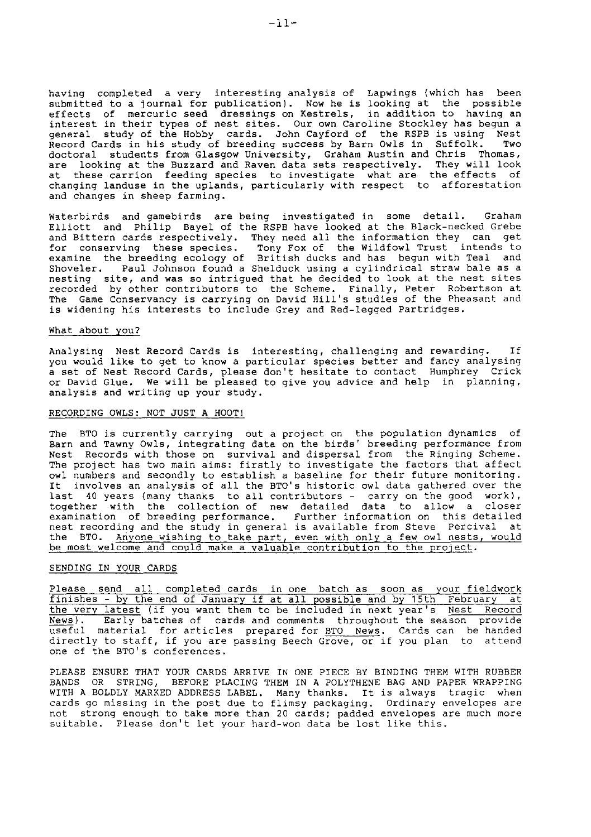having completed a very lnteresting analysis of Lapwings (which has been submitted to a Journal for publication). Now he is looking at the possible effects of mercuric seed dressings on Kestrels, in addition to having an interest in their types of nest sites. Our own Caroline Stockley has begun a general study of the Hobby cards. John Cayford of the RSPB is using Nest Record Cards in hls study of breeding success by Barn Owls in Suffolk. Two doctoral students from Glasgow University, Graham Austin and Chris Thomas, are looking at the Buzzard and Raven data sets respectively. They will look<br>at these carrion feeding species to investigate what are the effects o: changing landuse in the uplands, particularly with respect to afforestation and changes in sheep farming.

Waterbirds and gamebirds are being investigated in some detail. Graham EIIiott and Philip Bayel of the RSPB have looked at the Black-necked Grebe and Bittern cards respectively. They need all the information they can get for conserving these species. Tony Fox of the Wildfowl Trust intends to<br>examine the breeding ecology of British ducks and has begun with Teal and Shoveler. PauI Johnson found a shelduck using a cylindrical straw bale as a nesting site, and was so intrigued that he decided to look at the nest sites<br>recorded by other contributors to the Scheme. Finally, Peter Robertson at<br>The Game Conservancy is carrying on David Hill's studies of the P is widening his interests to include Grey and Red-legged Partridges.

### What about you?

Analysing Nest Record Cards is interesting, challenging and rewarding. If you would like to get to know a particular species better and fancy analysing a set of Nest Record Cards, please don't hesitate to contact Hunphrey Crick or David GIue. we will be pleased to give you advice and help in planning, analysis and writing up your study.

#### RECORDING OWLS: NoT JUST A HoOT!

The BTO is currently carrying out a project on the population dynamics of Barn and Tawny Owls, integrating data on the birds' breeding performance from Nest Records with those on survival and dispersal from the Ringing Scheme. The project has two main aims: firstly to investigate the factors that affect owl numbers and secondly to establish a baseline for their future monitoring<br>It involves an analysis of all the BTO's historic owl data gathered over the last 40 years (many thanks to all contributors – carry on the good work)<br>together with the collection of new detailed data to allow a close examination of breeding performance. Further information on this detailed nest recording and the study in general is available from Steve Percival at the BTO. Anyone wishing to take part, even with only a few owl nests, would<br>be most welcome and could make a valuable contribution to the project.

### SENDING IN YOUR CARDS

Please send all completed cards in one batch as soon as your fieldwor useful material for articles prepared for <u>BTO News</u>. Cards can be hande<br>directly to staff, if you are passing Beech Grove, or if you plan to atten one of ihe BTO's conferences, <u>News</u>). Early batches of cards and comments throughout the season provid<br>useful material for articles prepared for <u>BTO News</u>. Cards can be hande<br>directly to staff, if you are passing Beech Grove, or if you pla if you want them to be included in next year's

PLEASE ENSURE THAT YOUR CARDS ARRIVE IN ONE PIECE BY BINDING THEM WITH RUBBER BANDS OR STRING, BEFORE PLACING THEM IN A POLYTHENE BAG AND PAPER WRAPPING WITH A BOLDLY MARKED ADDRESS LABEL. Many thanks. It is always tragic when cards go missing in the post due to flimsy packaging. Ordinary envelopes are not strong enough to take more than 20 cards; padded envelopes are much more suitable. Please don't let your hard-won data be lost like this.